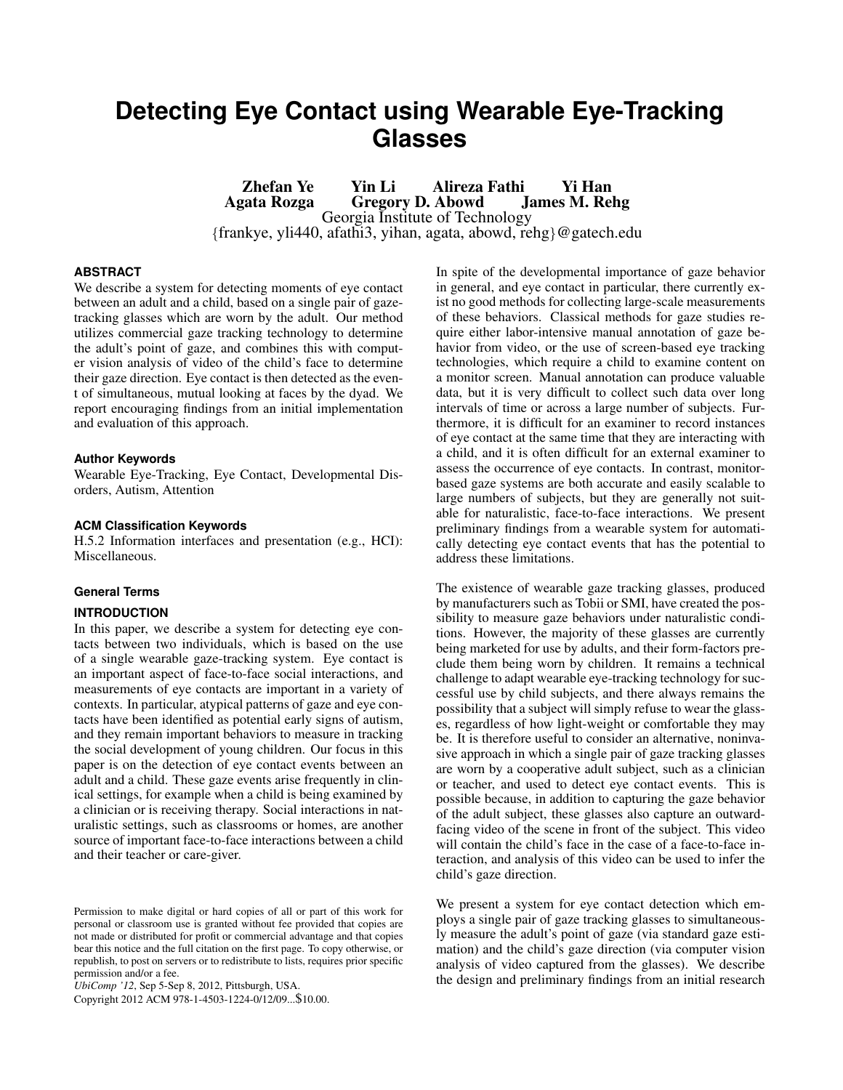# **Detecting Eye Contact using Wearable Eye-Tracking Glasses**

Zhefan Ye Yin Li Alireza Fathi Yi Han Gregory D. Abowd Georgia Institute of Technology {frankye, yli440, afathi3, yihan, agata, abowd, rehg}@gatech.edu

# **ABSTRACT**

We describe a system for detecting moments of eye contact between an adult and a child, based on a single pair of gazetracking glasses which are worn by the adult. Our method utilizes commercial gaze tracking technology to determine the adult's point of gaze, and combines this with computer vision analysis of video of the child's face to determine their gaze direction. Eye contact is then detected as the event of simultaneous, mutual looking at faces by the dyad. We report encouraging findings from an initial implementation and evaluation of this approach.

## **Author Keywords**

Wearable Eye-Tracking, Eye Contact, Developmental Disorders, Autism, Attention

#### **ACM Classification Keywords**

H.5.2 Information interfaces and presentation (e.g., HCI): Miscellaneous.

# **General Terms**

# **INTRODUCTION**

In this paper, we describe a system for detecting eye contacts between two individuals, which is based on the use of a single wearable gaze-tracking system. Eye contact is an important aspect of face-to-face social interactions, and measurements of eye contacts are important in a variety of contexts. In particular, atypical patterns of gaze and eye contacts have been identified as potential early signs of autism, and they remain important behaviors to measure in tracking the social development of young children. Our focus in this paper is on the detection of eye contact events between an adult and a child. These gaze events arise frequently in clinical settings, for example when a child is being examined by a clinician or is receiving therapy. Social interactions in naturalistic settings, such as classrooms or homes, are another source of important face-to-face interactions between a child and their teacher or care-giver.

*UbiComp '12*, Sep 5-Sep 8, 2012, Pittsburgh, USA.

Copyright 2012 ACM 978-1-4503-1224-0/12/09...\$10.00.

In spite of the developmental importance of gaze behavior in general, and eye contact in particular, there currently exist no good methods for collecting large-scale measurements of these behaviors. Classical methods for gaze studies require either labor-intensive manual annotation of gaze behavior from video, or the use of screen-based eye tracking technologies, which require a child to examine content on a monitor screen. Manual annotation can produce valuable data, but it is very difficult to collect such data over long intervals of time or across a large number of subjects. Furthermore, it is difficult for an examiner to record instances of eye contact at the same time that they are interacting with a child, and it is often difficult for an external examiner to assess the occurrence of eye contacts. In contrast, monitorbased gaze systems are both accurate and easily scalable to large numbers of subjects, but they are generally not suitable for naturalistic, face-to-face interactions. We present preliminary findings from a wearable system for automatically detecting eye contact events that has the potential to address these limitations.

The existence of wearable gaze tracking glasses, produced by manufacturers such as Tobii or SMI, have created the possibility to measure gaze behaviors under naturalistic conditions. However, the majority of these glasses are currently being marketed for use by adults, and their form-factors preclude them being worn by children. It remains a technical challenge to adapt wearable eye-tracking technology for successful use by child subjects, and there always remains the possibility that a subject will simply refuse to wear the glasses, regardless of how light-weight or comfortable they may be. It is therefore useful to consider an alternative, noninvasive approach in which a single pair of gaze tracking glasses are worn by a cooperative adult subject, such as a clinician or teacher, and used to detect eye contact events. This is possible because, in addition to capturing the gaze behavior of the adult subject, these glasses also capture an outwardfacing video of the scene in front of the subject. This video will contain the child's face in the case of a face-to-face interaction, and analysis of this video can be used to infer the child's gaze direction.

We present a system for eye contact detection which employs a single pair of gaze tracking glasses to simultaneously measure the adult's point of gaze (via standard gaze estimation) and the child's gaze direction (via computer vision analysis of video captured from the glasses). We describe the design and preliminary findings from an initial research

Permission to make digital or hard copies of all or part of this work for personal or classroom use is granted without fee provided that copies are not made or distributed for profit or commercial advantage and that copies bear this notice and the full citation on the first page. To copy otherwise, or republish, to post on servers or to redistribute to lists, requires prior specific permission and/or a fee.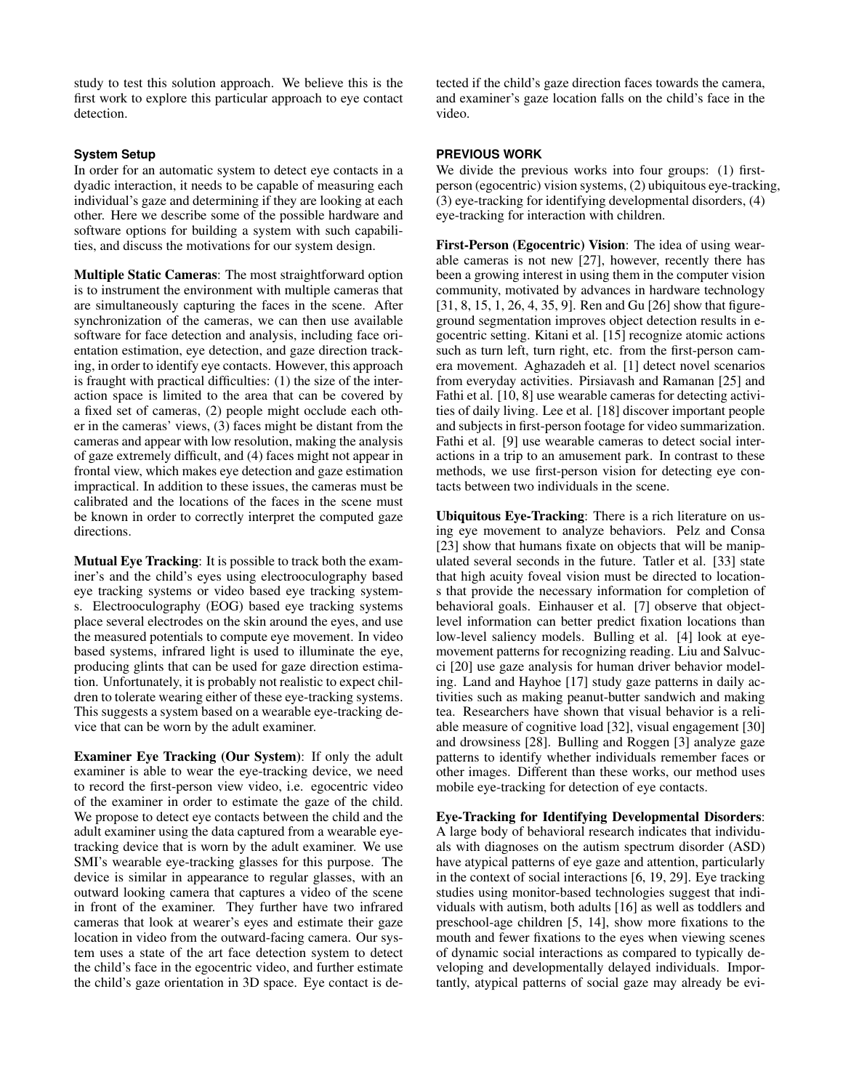study to test this solution approach. We believe this is the first work to explore this particular approach to eye contact detection.

# **System Setup**

In order for an automatic system to detect eye contacts in a dyadic interaction, it needs to be capable of measuring each individual's gaze and determining if they are looking at each other. Here we describe some of the possible hardware and software options for building a system with such capabilities, and discuss the motivations for our system design.

Multiple Static Cameras: The most straightforward option is to instrument the environment with multiple cameras that are simultaneously capturing the faces in the scene. After synchronization of the cameras, we can then use available software for face detection and analysis, including face orientation estimation, eye detection, and gaze direction tracking, in order to identify eye contacts. However, this approach is fraught with practical difficulties: (1) the size of the interaction space is limited to the area that can be covered by a fixed set of cameras, (2) people might occlude each other in the cameras' views, (3) faces might be distant from the cameras and appear with low resolution, making the analysis of gaze extremely difficult, and (4) faces might not appear in frontal view, which makes eye detection and gaze estimation impractical. In addition to these issues, the cameras must be calibrated and the locations of the faces in the scene must be known in order to correctly interpret the computed gaze directions.

Mutual Eye Tracking: It is possible to track both the examiner's and the child's eyes using electrooculography based eye tracking systems or video based eye tracking systems. Electrooculography (EOG) based eye tracking systems place several electrodes on the skin around the eyes, and use the measured potentials to compute eye movement. In video based systems, infrared light is used to illuminate the eye, producing glints that can be used for gaze direction estimation. Unfortunately, it is probably not realistic to expect children to tolerate wearing either of these eye-tracking systems. This suggests a system based on a wearable eye-tracking device that can be worn by the adult examiner.

Examiner Eye Tracking (Our System): If only the adult examiner is able to wear the eye-tracking device, we need to record the first-person view video, i.e. egocentric video of the examiner in order to estimate the gaze of the child. We propose to detect eye contacts between the child and the adult examiner using the data captured from a wearable eyetracking device that is worn by the adult examiner. We use SMI's wearable eye-tracking glasses for this purpose. The device is similar in appearance to regular glasses, with an outward looking camera that captures a video of the scene in front of the examiner. They further have two infrared cameras that look at wearer's eyes and estimate their gaze location in video from the outward-facing camera. Our system uses a state of the art face detection system to detect the child's face in the egocentric video, and further estimate the child's gaze orientation in 3D space. Eye contact is detected if the child's gaze direction faces towards the camera, and examiner's gaze location falls on the child's face in the video.

# **PREVIOUS WORK**

We divide the previous works into four groups: (1) firstperson (egocentric) vision systems, (2) ubiquitous eye-tracking, (3) eye-tracking for identifying developmental disorders, (4) eye-tracking for interaction with children.

First-Person (Egocentric) Vision: The idea of using wearable cameras is not new [\[27\]](#page-5-0), however, recently there has been a growing interest in using them in the computer vision community, motivated by advances in hardware technology [\[31,](#page-5-1) [8,](#page-5-2) [15,](#page-5-3) [1,](#page-4-0) [26,](#page-5-4) [4,](#page-4-1) [35,](#page-5-5) [9\]](#page-5-6). Ren and Gu [\[26\]](#page-5-4) show that figureground segmentation improves object detection results in egocentric setting. Kitani et al. [\[15\]](#page-5-3) recognize atomic actions such as turn left, turn right, etc. from the first-person camera movement. Aghazadeh et al. [\[1\]](#page-4-0) detect novel scenarios from everyday activities. Pirsiavash and Ramanan [\[25\]](#page-5-7) and Fathi et al. [\[10,](#page-5-8) [8\]](#page-5-2) use wearable cameras for detecting activities of daily living. Lee et al. [\[18\]](#page-5-9) discover important people and subjects in first-person footage for video summarization. Fathi et al. [\[9\]](#page-5-6) use wearable cameras to detect social interactions in a trip to an amusement park. In contrast to these methods, we use first-person vision for detecting eye contacts between two individuals in the scene.

Ubiquitous Eye-Tracking: There is a rich literature on using eye movement to analyze behaviors. Pelz and Consa [\[23\]](#page-5-10) show that humans fixate on objects that will be manipulated several seconds in the future. Tatler et al. [\[33\]](#page-5-11) state that high acuity foveal vision must be directed to locations that provide the necessary information for completion of behavioral goals. Einhauser et al. [\[7\]](#page-5-12) observe that objectlevel information can better predict fixation locations than low-level saliency models. Bulling et al. [\[4\]](#page-4-1) look at eyemovement patterns for recognizing reading. Liu and Salvucci [\[20\]](#page-5-13) use gaze analysis for human driver behavior modeling. Land and Hayhoe [\[17\]](#page-5-14) study gaze patterns in daily activities such as making peanut-butter sandwich and making tea. Researchers have shown that visual behavior is a reliable measure of cognitive load [\[32\]](#page-5-15), visual engagement [\[30\]](#page-5-16) and drowsiness [\[28\]](#page-5-17). Bulling and Roggen [\[3\]](#page-4-2) analyze gaze patterns to identify whether individuals remember faces or other images. Different than these works, our method uses mobile eye-tracking for detection of eye contacts.

Eye-Tracking for Identifying Developmental Disorders: A large body of behavioral research indicates that individuals with diagnoses on the autism spectrum disorder (ASD) have atypical patterns of eye gaze and attention, particularly in the context of social interactions [\[6,](#page-5-18) [19,](#page-5-19) [29\]](#page-5-20). Eye tracking studies using monitor-based technologies suggest that individuals with autism, both adults [\[16\]](#page-5-21) as well as toddlers and preschool-age children [\[5,](#page-4-3) [14\]](#page-5-22), show more fixations to the mouth and fewer fixations to the eyes when viewing scenes of dynamic social interactions as compared to typically developing and developmentally delayed individuals. Importantly, atypical patterns of social gaze may already be evi-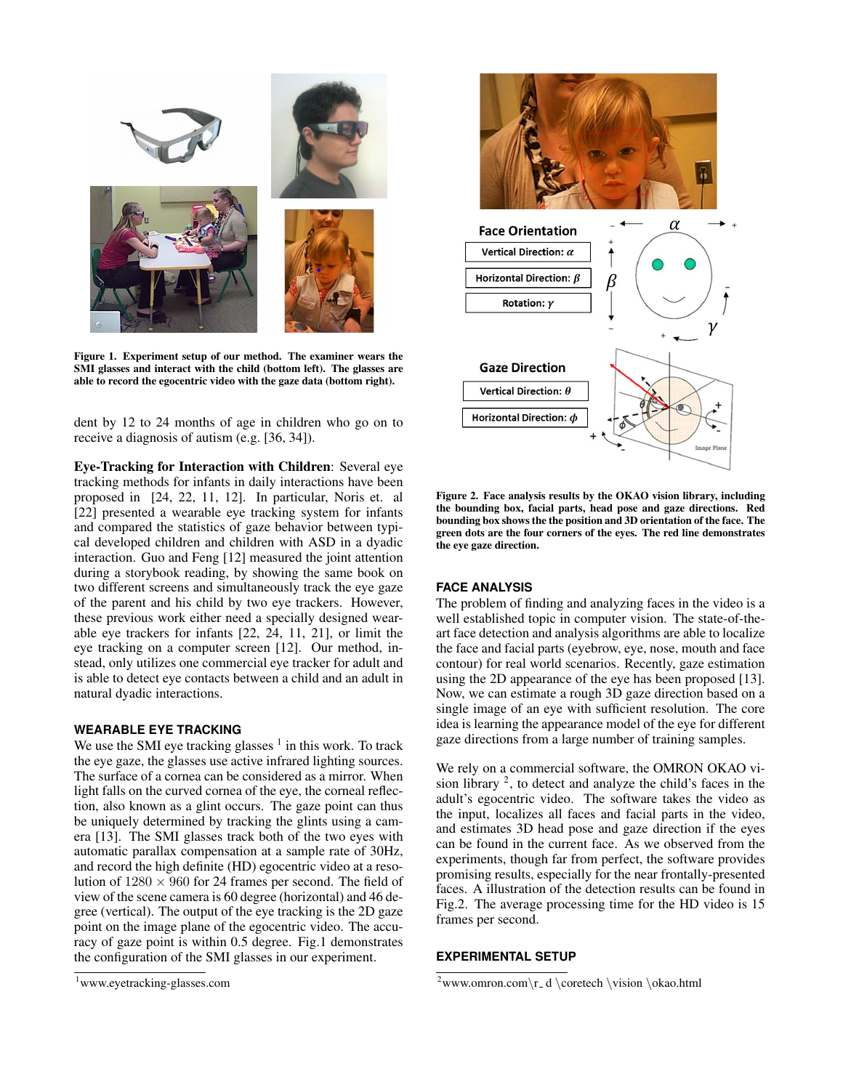

Figure 1. Experiment setup of our method. The examiner wears the SMI glasses and interact with the child (bottom left). The glasses are able to record the egocentric video with the gaze data (bottom right).

dent by 12 to 24 months of age in children who go on to receive a diagnosis of autism (e.g. [\[36,](#page-5-23) [34\]](#page-5-24)).

Eye-Tracking for Interaction with Children: Several eye tracking methods for infants in daily interactions have been proposed in [\[24,](#page-5-25) [22,](#page-5-26) [11,](#page-5-27) [12\]](#page-5-28). In particular, Noris et. al [\[22\]](#page-5-26) presented a wearable eye tracking system for infants and compared the statistics of gaze behavior between typical developed children and children with ASD in a dyadic interaction. Guo and Feng [\[12\]](#page-5-28) measured the joint attention during a storybook reading, by showing the same book on two different screens and simultaneously track the eye gaze of the parent and his child by two eye trackers. However, these previous work either need a specially designed wearable eye trackers for infants [\[22,](#page-5-26) [24,](#page-5-25) [11,](#page-5-27) [21\]](#page-5-29), or limit the eye tracking on a computer screen [\[12\]](#page-5-28). Our method, instead, only utilizes one commercial eye tracker for adult and is able to detect eye contacts between a child and an adult in natural dyadic interactions.

# **WEARABLE EYE TRACKING**

We use the SMI eye tracking glasses  $<sup>1</sup>$  $<sup>1</sup>$  $<sup>1</sup>$  in this work. To track</sup> the eye gaze, the glasses use active infrared lighting sources. The surface of a cornea can be considered as a mirror. When light falls on the curved cornea of the eye, the corneal reflection, also known as a glint occurs. The gaze point can thus be uniquely determined by tracking the glints using a camera [\[13\]](#page-5-30). The SMI glasses track both of the two eyes with automatic parallax compensation at a sample rate of 30Hz, and record the high definite (HD) egocentric video at a resolution of  $1280 \times 960$  for 24 frames per second. The field of view of the scene camera is 60 degree (horizontal) and 46 degree (vertical). The output of the eye tracking is the 2D gaze point on the image plane of the egocentric video. The accuracy of gaze point is within 0.5 degree. Fig.1 demonstrates the configuration of the SMI glasses in our experiment.

<span id="page-2-0"></span>



Figure 2. Face analysis results by the OKAO vision library, including the bounding box, facial parts, head pose and gaze directions. Red bounding box shows the the position and 3D orientation of the face. The green dots are the four corners of the eyes. The red line demonstrates the eye gaze direction.

# **FACE ANALYSIS**

The problem of finding and analyzing faces in the video is a well established topic in computer vision. The state-of-theart face detection and analysis algorithms are able to localize the face and facial parts (eyebrow, eye, nose, mouth and face contour) for real world scenarios. Recently, gaze estimation using the 2D appearance of the eye has been proposed [\[13\]](#page-5-30). Now, we can estimate a rough 3D gaze direction based on a single image of an eye with sufficient resolution. The core idea is learning the appearance model of the eye for different gaze directions from a large number of training samples.

We rely on a commercial software, the OMRON OKAO vision library  $2$ , to detect and analyze the child's faces in the adult's egocentric video. The software takes the video as the input, localizes all faces and facial parts in the video, and estimates 3D head pose and gaze direction if the eyes can be found in the current face. As we observed from the experiments, though far from perfect, the software provides promising results, especially for the near frontally-presented faces. A illustration of the detection results can be found in Fig.2. The average processing time for the HD video is 15 frames per second.

### **EXPERIMENTAL SETUP**

<span id="page-2-1"></span> $2$ www.omron.com\r\_d \coretech \vision \okao.html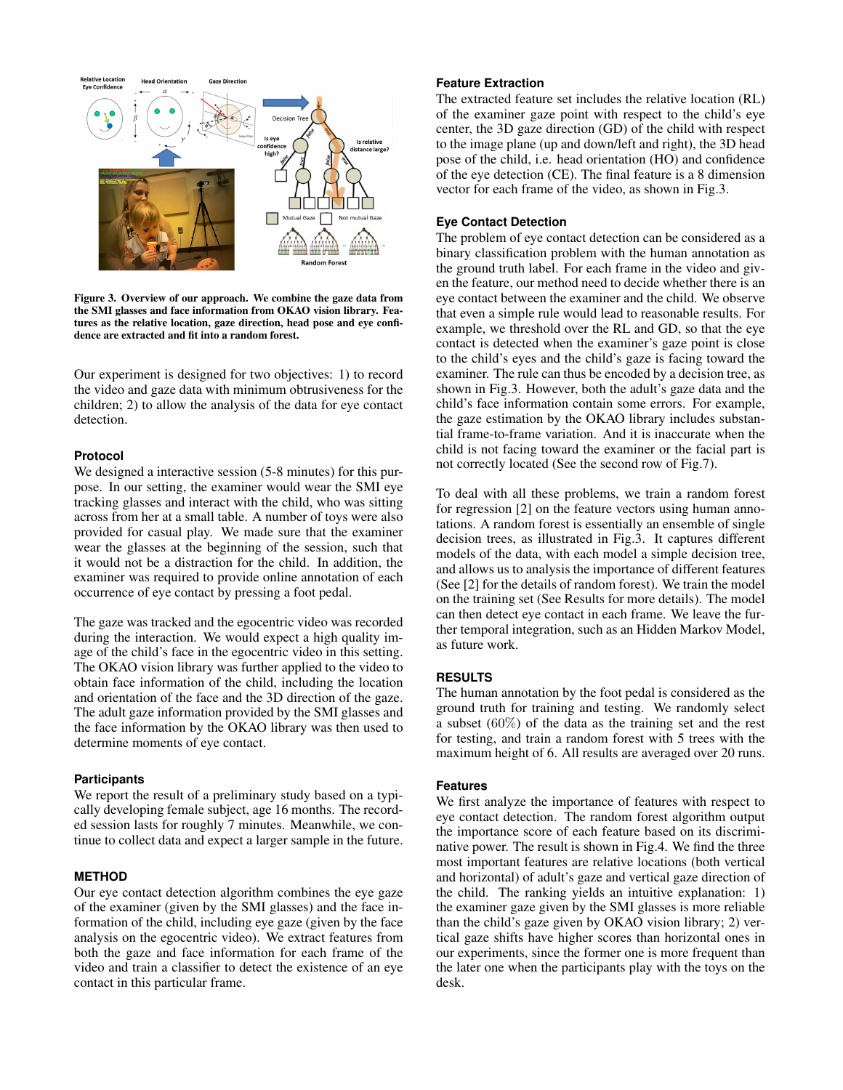

Figure 3. Overview of our approach. We combine the gaze data from the SMI glasses and face information from OKAO vision library. Features as the relative location, gaze direction, head pose and eye confidence are extracted and fit into a random forest.

Our experiment is designed for two objectives: 1) to record the video and gaze data with minimum obtrusiveness for the children; 2) to allow the analysis of the data for eye contact detection.

#### **Protocol**

We designed a interactive session (5-8 minutes) for this purpose. In our setting, the examiner would wear the SMI eye tracking glasses and interact with the child, who was sitting across from her at a small table. A number of toys were also provided for casual play. We made sure that the examiner wear the glasses at the beginning of the session, such that it would not be a distraction for the child. In addition, the examiner was required to provide online annotation of each occurrence of eye contact by pressing a foot pedal.

The gaze was tracked and the egocentric video was recorded during the interaction. We would expect a high quality image of the child's face in the egocentric video in this setting. The OKAO vision library was further applied to the video to obtain face information of the child, including the location and orientation of the face and the 3D direction of the gaze. The adult gaze information provided by the SMI glasses and the face information by the OKAO library was then used to determine moments of eye contact.

#### **Participants**

We report the result of a preliminary study based on a typically developing female subject, age 16 months. The recorded session lasts for roughly 7 minutes. Meanwhile, we continue to collect data and expect a larger sample in the future.

# **METHOD**

Our eye contact detection algorithm combines the eye gaze of the examiner (given by the SMI glasses) and the face information of the child, including eye gaze (given by the face analysis on the egocentric video). We extract features from both the gaze and face information for each frame of the video and train a classifier to detect the existence of an eye contact in this particular frame.

# **Feature Extraction**

The extracted feature set includes the relative location (RL) of the examiner gaze point with respect to the child's eye center, the 3D gaze direction (GD) of the child with respect to the image plane (up and down/left and right), the 3D head pose of the child, i.e. head orientation (HO) and confidence of the eye detection (CE). The final feature is a 8 dimension vector for each frame of the video, as shown in Fig.3.

#### **Eye Contact Detection**

The problem of eye contact detection can be considered as a binary classification problem with the human annotation as the ground truth label. For each frame in the video and given the feature, our method need to decide whether there is an eye contact between the examiner and the child. We observe that even a simple rule would lead to reasonable results. For example, we threshold over the RL and GD, so that the eye contact is detected when the examiner's gaze point is close to the child's eyes and the child's gaze is facing toward the examiner. The rule can thus be encoded by a decision tree, as shown in Fig.3. However, both the adult's gaze data and the child's face information contain some errors. For example, the gaze estimation by the OKAO library includes substantial frame-to-frame variation. And it is inaccurate when the child is not facing toward the examiner or the facial part is not correctly located (See the second row of Fig.7).

To deal with all these problems, we train a random forest for regression [\[2\]](#page-4-4) on the feature vectors using human annotations. A random forest is essentially an ensemble of single decision trees, as illustrated in Fig.3. It captures different models of the data, with each model a simple decision tree, and allows us to analysis the importance of different features (See [\[2\]](#page-4-4) for the details of random forest). We train the model on the training set (See Results for more details). The model can then detect eye contact in each frame. We leave the further temporal integration, such as an Hidden Markov Model, as future work.

# **RESULTS**

The human annotation by the foot pedal is considered as the ground truth for training and testing. We randomly select a subset (60%) of the data as the training set and the rest for testing, and train a random forest with 5 trees with the maximum height of 6. All results are averaged over 20 runs.

#### **Features**

We first analyze the importance of features with respect to eye contact detection. The random forest algorithm output the importance score of each feature based on its discriminative power. The result is shown in Fig.4. We find the three most important features are relative locations (both vertical and horizontal) of adult's gaze and vertical gaze direction of the child. The ranking yields an intuitive explanation: 1) the examiner gaze given by the SMI glasses is more reliable than the child's gaze given by OKAO vision library; 2) vertical gaze shifts have higher scores than horizontal ones in our experiments, since the former one is more frequent than the later one when the participants play with the toys on the desk.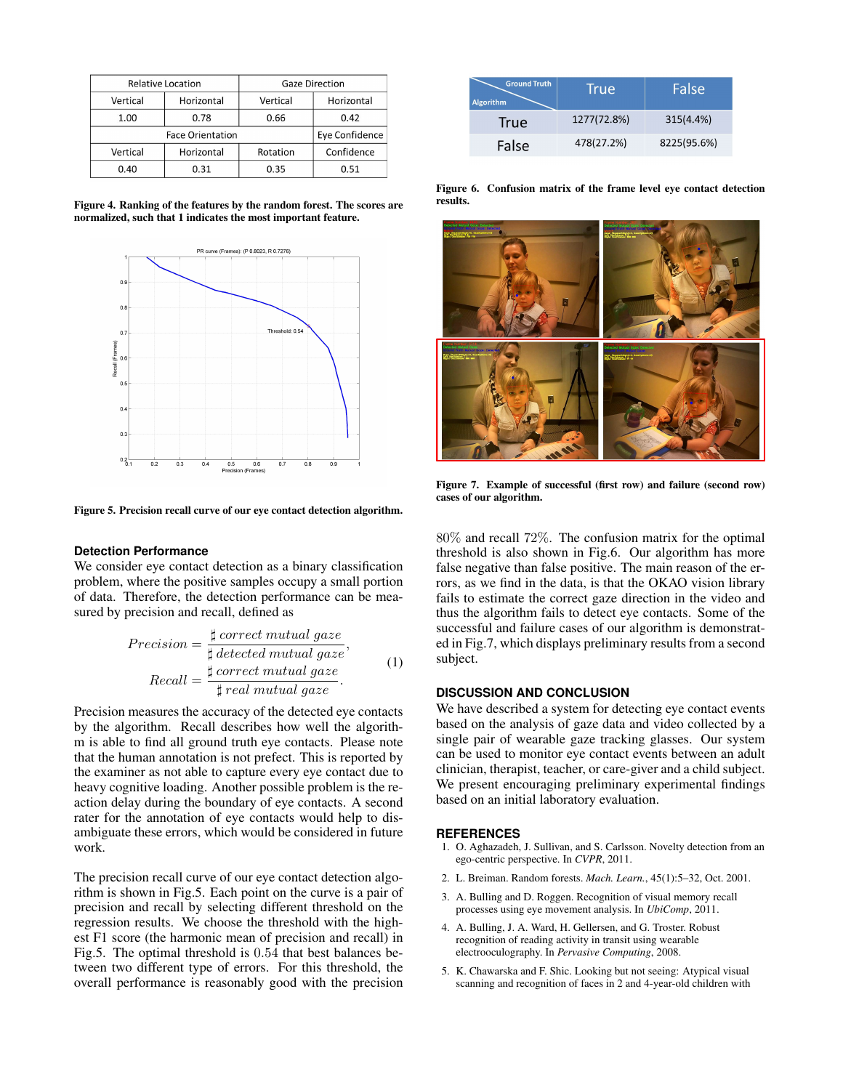| <b>Relative Location</b> |            | <b>Gaze Direction</b> |                       |
|--------------------------|------------|-----------------------|-----------------------|
| Vertical                 | Horizontal | Vertical              | Horizontal            |
| 1.00                     | 0.78       | 0.66                  | 0.42                  |
| <b>Face Orientation</b>  |            |                       | <b>Eye Confidence</b> |
| Vertical                 | Horizontal | Rotation              | Confidence            |
| 0.40                     | 0.31       | 0.35                  | 0.51                  |

Figure 4. Ranking of the features by the random forest. The scores are normalized, such that 1 indicates the most important feature.



Figure 5. Precision recall curve of our eye contact detection algorithm.

#### **Detection Performance**

We consider eye contact detection as a binary classification problem, where the positive samples occupy a small portion of data. Therefore, the detection performance can be measured by precision and recall, defined as

$$
Precision = \frac{\sharp correct\,mutual\,gaze}{\sharp detected\,mutual\,gaze},
$$

$$
Recall = \frac{\sharp correct\,mutual\,gaze}{\sharp\,real\,mutual\,gaze}.
$$
 (1)

Precision measures the accuracy of the detected eye contacts by the algorithm. Recall describes how well the algorithm is able to find all ground truth eye contacts. Please note that the human annotation is not prefect. This is reported by the examiner as not able to capture every eye contact due to heavy cognitive loading. Another possible problem is the reaction delay during the boundary of eye contacts. A second rater for the annotation of eye contacts would help to disambiguate these errors, which would be considered in future work.

The precision recall curve of our eye contact detection algorithm is shown in Fig.5. Each point on the curve is a pair of precision and recall by selecting different threshold on the regression results. We choose the threshold with the highest F1 score (the harmonic mean of precision and recall) in Fig.5. The optimal threshold is 0.54 that best balances between two different type of errors. For this threshold, the overall performance is reasonably good with the precision

| <b>Ground Truth</b><br><b>Algorithm</b> | <b>True</b> | False       |
|-----------------------------------------|-------------|-------------|
| True                                    | 1277(72.8%) | 315(4.4%)   |
| False                                   | 478(27.2%)  | 8225(95.6%) |

Figure 6. Confusion matrix of the frame level eye contact detection results.



Figure 7. Example of successful (first row) and failure (second row) cases of our algorithm.

80% and recall 72%. The confusion matrix for the optimal threshold is also shown in Fig.6. Our algorithm has more false negative than false positive. The main reason of the errors, as we find in the data, is that the OKAO vision library fails to estimate the correct gaze direction in the video and thus the algorithm fails to detect eye contacts. Some of the successful and failure cases of our algorithm is demonstrated in Fig.7, which displays preliminary results from a second subject.

# **DISCUSSION AND CONCLUSION**

We have described a system for detecting eye contact events based on the analysis of gaze data and video collected by a single pair of wearable gaze tracking glasses. Our system can be used to monitor eye contact events between an adult clinician, therapist, teacher, or care-giver and a child subject. We present encouraging preliminary experimental findings based on an initial laboratory evaluation.

#### <span id="page-4-0"></span>**REFERENCES**

- 1. O. Aghazadeh, J. Sullivan, and S. Carlsson. Novelty detection from an ego-centric perspective. In *CVPR*, 2011.
- <span id="page-4-4"></span>2. L. Breiman. Random forests. *Mach. Learn.*, 45(1):5–32, Oct. 2001.
- <span id="page-4-2"></span>3. A. Bulling and D. Roggen. Recognition of visual memory recall processes using eye movement analysis. In *UbiComp*, 2011.
- <span id="page-4-1"></span>4. A. Bulling, J. A. Ward, H. Gellersen, and G. Troster. Robust recognition of reading activity in transit using wearable electrooculography. In *Pervasive Computing*, 2008.
- <span id="page-4-3"></span>5. K. Chawarska and F. Shic. Looking but not seeing: Atypical visual scanning and recognition of faces in 2 and 4-year-old children with